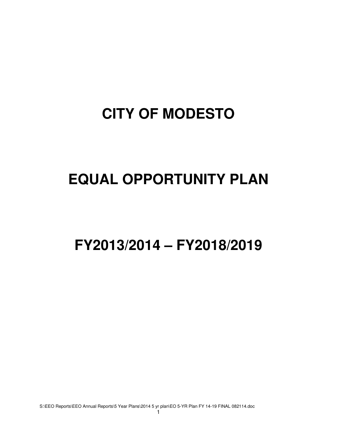# **CITY OF MODESTO**

# **EQUAL OPPORTUNITY PLAN**

**FY2013/2014 – FY2018/2019** 

S:\EEO Reports\EEO Annual Reports\5 Year Plans\2014 5 yr plan\EO 5-YR Plan FY 14-19 FINAL 082114.doc

1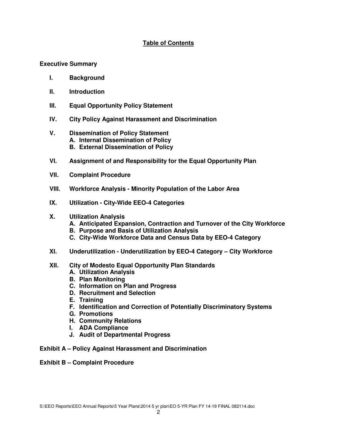# **Table of Contents**

## **Executive Summary**

- **I. Background**
- **II. Introduction**
- **III. Equal Opportunity Policy Statement**
- **IV. City Policy Against Harassment and Discrimination**
- **V. Dissemination of Policy Statement A. Internal Dissemination of Policy B. External Dissemination of Policy**
- **VI. Assignment of and Responsibility for the Equal Opportunity Plan**
- **VII. Complaint Procedure**
- **VIII. Workforce Analysis Minority Population of the Labor Area**
- **IX. Utilization City-Wide EEO-4 Categories**
- **X. Utilization Analysis** 
	- **A. Anticipated Expansion, Contraction and Turnover of the City Workforce**
	- **B. Purpose and Basis of Utilization Analysis**
	- **C. City-Wide Workforce Data and Census Data by EEO-4 Category**
- **XI. Underutilization Underutilization by EEO-4 Category City Workforce**
- **XII. City of Modesto Equal Opportunity Plan Standards** 
	- **A. Utilization Analysis**
	- **B. Plan Monitoring**
	- **C. Information on Plan and Progress**
	- **D. Recruitment and Selection**
	- **E. Training**
	- **F. Identification and Correction of Potentially Discriminatory Systems**
	- **G. Promotions**
	- **H. Community Relations**
	- **I. ADA Compliance**
	- **J. Audit of Departmental Progress**
- **Exhibit A Policy Against Harassment and Discrimination**
- **Exhibit B Complaint Procedure**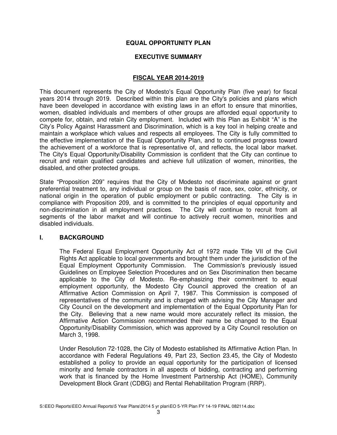## **EQUAL OPPORTUNITY PLAN**

## **EXECUTIVE SUMMARY**

#### **FISCAL YEAR 2014-2019**

This document represents the City of Modesto's Equal Opportunity Plan (five year) for fiscal years 2014 through 2019. Described within this plan are the City's policies and plans which have been developed in accordance with existing laws in an effort to ensure that minorities, women, disabled individuals and members of other groups are afforded equal opportunity to compete for, obtain, and retain City employment. Included with this Plan as Exhibit "A" is the City's Policy Against Harassment and Discrimination, which is a key tool in helping create and maintain a workplace which values and respects all employees. The City is fully committed to the effective implementation of the Equal Opportunity Plan, and to continued progress toward the achievement of a workforce that is representative of, and reflects, the local labor market. The City's Equal Opportunity/Disability Commission is confident that the City can continue to recruit and retain qualified candidates and achieve full utilization of women, minorities, the disabled, and other protected groups.

State "Proposition 209" requires that the City of Modesto not discriminate against or grant preferential treatment to, any individual or group on the basis of race, sex, color, ethnicity, or national origin in the operation of public employment or public contracting. The City is in compliance with Proposition 209, and is committed to the principles of equal opportunity and non-discrimination in all employment practices. The City will continue to recruit from all segments of the labor market and will continue to actively recruit women, minorities and disabled individuals.

## **I. BACKGROUND**

The Federal Equal Employment Opportunity Act of 1972 made Title VII of the Civil Rights Act applicable to local governments and brought them under the jurisdiction of the Equal Employment Opportunity Commission. The Commission's previously issued Guidelines on Employee Selection Procedures and on Sex Discrimination then became applicable to the City of Modesto. Re-emphasizing their commitment to equal employment opportunity, the Modesto City Council approved the creation of an Affirmative Action Commission on April 7, 1987. This Commission is composed of representatives of the community and is charged with advising the City Manager and City Council on the development and implementation of the Equal Opportunity Plan for the City. Believing that a new name would more accurately reflect its mission, the Affirmative Action Commission recommended their name be changed to the Equal Opportunity/Disability Commission, which was approved by a City Council resolution on March 3, 1998.

Under Resolution 72-1028, the City of Modesto established its Affirmative Action Plan. In accordance with Federal Regulations 49, Part 23, Section 23.45, the City of Modesto established a policy to provide an equal opportunity for the participation of licensed minority and female contractors in all aspects of bidding, contracting and performing work that is financed by the Home Investment Partnership Act (HOME), Community Development Block Grant (CDBG) and Rental Rehabilitation Program (RRP).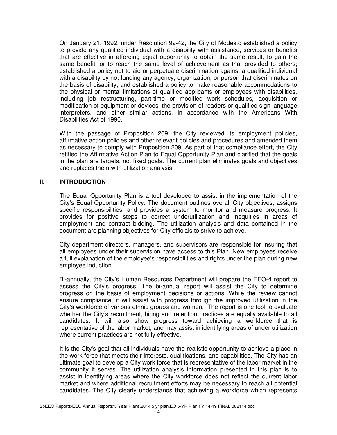On January 21, 1992, under Resolution 92-42, the City of Modesto established a policy to provide any qualified individual with a disability with assistance, services or benefits that are effective in affording equal opportunity to obtain the same result, to gain the same benefit, or to reach the same level of achievement as that provided to others; established a policy not to aid or perpetuate discrimination against a qualified individual with a disability by not funding any agency, organization, or person that discriminates on the basis of disability; and established a policy to make reasonable accommodations to the physical or mental limitations of qualified applicants or employees with disabilities, including job restructuring, part-time or modified work schedules, acquisition or modification of equipment or devices, the provision of readers or qualified sign language interpreters, and other similar actions, in accordance with the Americans With Disabilities Act of 1990.

With the passage of Proposition 209, the City reviewed its employment policies, affirmative action policies and other relevant policies and procedures and amended them as necessary to comply with Proposition 209. As part of that compliance effort, the City retitled the Affirmative Action Plan to Equal Opportunity Plan and clarified that the goals in the plan are targets, not fixed goals. The current plan eliminates goals and objectives and replaces them with utilization analysis.

## **II. INTRODUCTION**

The Equal Opportunity Plan is a tool developed to assist in the implementation of the City's Equal Opportunity Policy. The document outlines overall City objectives, assigns specific responsibilities, and provides a system to monitor and measure progress. It provides for positive steps to correct underutilization and inequities in areas of employment and contract bidding. The utilization analysis and data contained in the document are planning objectives for City officials to strive to achieve.

City department directors, managers, and supervisors are responsible for insuring that all employees under their supervision have access to this Plan. New employees receive a full explanation of the employee's responsibilities and rights under the plan during new employee induction.

Bi-annually, the City's Human Resources Department will prepare the EEO-4 report to assess the City's progress. The bi-annual report will assist the City to determine progress on the basis of employment decisions or actions. While the review cannot ensure compliance, it will assist with progress through the improved utilization in the City's workforce of various ethnic groups and women. The report is one tool to evaluate whether the City's recruitment, hiring and retention practices are equally available to all candidates. It will also show progress toward achieving a workforce that is representative of the labor market, and may assist in identifying areas of under utilization where current practices are not fully effective.

It is the City's goal that all individuals have the realistic opportunity to achieve a place in the work force that meets their interests, qualifications, and capabilities. The City has an ultimate goal to develop a City work force that is representative of the labor market in the community it serves. The utilization analysis information presented in this plan is to assist in identifying areas where the City workforce does not reflect the current labor market and where additional recruitment efforts may be necessary to reach all potential candidates. The City clearly understands that achieving a workforce which represents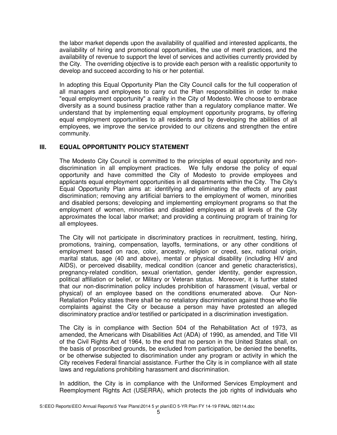the labor market depends upon the availability of qualified and interested applicants, the availability of hiring and promotional opportunities, the use of merit practices, and the availability of revenue to support the level of services and activities currently provided by the City. The overriding objective is to provide each person with a realistic opportunity to develop and succeed according to his or her potential.

In adopting this Equal Opportunity Plan the City Council calls for the full cooperation of all managers and employees to carry out the Plan responsibilities in order to make "equal employment opportunity" a reality in the City of Modesto. We choose to embrace diversity as a sound business practice rather than a regulatory compliance matter. We understand that by implementing equal employment opportunity programs, by offering equal employment opportunities to all residents and by developing the abilities of all employees, we improve the service provided to our citizens and strengthen the entire community.

## **III. EQUAL OPPORTUNITY POLICY STATEMENT**

The Modesto City Council is committed to the principles of equal opportunity and nondiscrimination in all employment practices. We fully endorse the policy of equal opportunity and have committed the City of Modesto to provide employees and applicants equal employment opportunities in all departments within the City. The City's Equal Opportunity Plan aims at: identifying and eliminating the effects of any past discrimination; removing any artificial barriers to the employment of women, minorities and disabled persons; developing and implementing employment programs so that the employment of women, minorities and disabled employees at all levels of the City approximates the local labor market; and providing a continuing program of training for all employees.

The City will not participate in discriminatory practices in recruitment, testing, hiring, promotions, training, compensation, layoffs, terminations, or any other conditions of employment based on race, color, ancestry, religion or creed, sex, national origin, marital status, age (40 and above), mental or physical disability (including HIV and AIDS), or perceived disability, medical condition (cancer and genetic characteristics), pregnancy-related condition, sexual orientation, gender identity, gender expression, political affiliation or belief, or Military or Veteran status. Moreover, it is further stated that our non-discrimination policy includes prohibition of harassment (visual, verbal or physical) of an employee based on the conditions enumerated above. Our Non-Retaliation Policy states there shall be no retaliatory discrimination against those who file complaints against the City or because a person may have protested an alleged discriminatory practice and/or testified or participated in a discrimination investigation.

The City is in compliance with Section 504 of the Rehabilitation Act of 1973, as amended, the Americans with Disabilities Act (ADA) of 1990, as amended, and Title VII of the Civil Rights Act of 1964, to the end that no person in the United States shall, on the basis of proscribed grounds, be excluded from participation, be denied the benefits, or be otherwise subjected to discrimination under any program or activity in which the City receives Federal financial assistance. Further the City is in compliance with all state laws and regulations prohibiting harassment and discrimination.

In addition, the City is in compliance with the Uniformed Services Employment and Reemployment Rights Act (USERRA), which protects the job rights of individuals who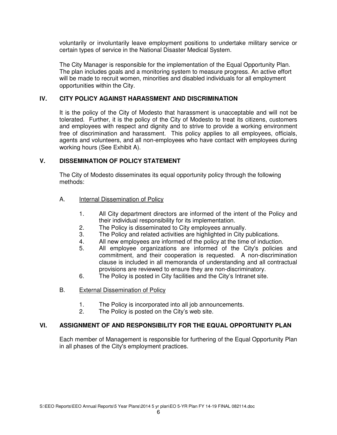voluntarily or involuntarily leave employment positions to undertake military service or certain types of service in the National Disaster Medical System.

The City Manager is responsible for the implementation of the Equal Opportunity Plan. The plan includes goals and a monitoring system to measure progress. An active effort will be made to recruit women, minorities and disabled individuals for all employment opportunities within the City.

## **IV. CITY POLICY AGAINST HARASSMENT AND DISCRIMINATION**

It is the policy of the City of Modesto that harassment is unacceptable and will not be tolerated. Further, it is the policy of the City of Modesto to treat its citizens, customers and employees with respect and dignity and to strive to provide a working environment free of discrimination and harassment. This policy applies to all employees, officials, agents and volunteers, and all non-employees who have contact with employees during working hours (See Exhibit A).

## **V. DISSEMINATION OF POLICY STATEMENT**

 The City of Modesto disseminates its equal opportunity policy through the following methods:

- A. Internal Dissemination of Policy
	- 1. All City department directors are informed of the intent of the Policy and their individual responsibility for its implementation.
	- 2. The Policy is disseminated to City employees annually.
	- 3. The Policy and related activities are highlighted in City publications.
	- 4. All new employees are informed of the policy at the time of induction.
	- 5. All employee organizations are informed of the City's policies and commitment, and their cooperation is requested. A non-discrimination clause is included in all memoranda of understanding and all contractual provisions are reviewed to ensure they are non-discriminatory.
	- 6. The Policy is posted in City facilities and the City's Intranet site.
- B. External Dissemination of Policy
	- 1. The Policy is incorporated into all job announcements.<br>2. The Policy is posted on the City's web site.
	- The Policy is posted on the City's web site.

#### **VI. ASSIGNMENT OF AND RESPONSIBILITY FOR THE EQUAL OPPORTUNITY PLAN**

Each member of Management is responsible for furthering of the Equal Opportunity Plan in all phases of the City's employment practices.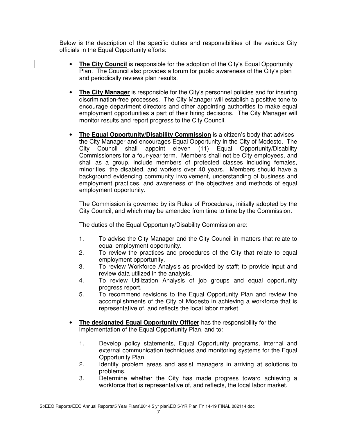Below is the description of the specific duties and responsibilities of the various City officials in the Equal Opportunity efforts:

- **The City Council** is responsible for the adoption of the City's Equal Opportunity Plan. The Council also provides a forum for public awareness of the City's plan and periodically reviews plan results.
- **The City Manager** is responsible for the City's personnel policies and for insuring discrimination-free processes. The City Manager will establish a positive tone to encourage department directors and other appointing authorities to make equal employment opportunities a part of their hiring decisions. The City Manager will monitor results and report progress to the City Council.
- **The Equal Opportunity/Disability Commission** is a citizen's body that advises the City Manager and encourages Equal Opportunity in the City of Modesto. The City Council shall appoint eleven (11) Equal Opportunity/Disability Commissioners for a four-year term. Members shall not be City employees, and shall as a group, include members of protected classes including females, minorities, the disabled, and workers over 40 years. Members should have a background evidencing community involvement, understanding of business and employment practices, and awareness of the objectives and methods of equal employment opportunity.

The Commission is governed by its Rules of Procedures, initially adopted by the City Council, and which may be amended from time to time by the Commission.

The duties of the Equal Opportunity/Disability Commission are:

- 1. To advise the City Manager and the City Council in matters that relate to equal employment opportunity.
- 2. To review the practices and procedures of the City that relate to equal employment opportunity.
- 3. To review Workforce Analysis as provided by staff; to provide input and review data utilized in the analysis.
- 4. To review Utilization Analysis of job groups and equal opportunity progress report.
- 5. To recommend revisions to the Equal Opportunity Plan and review the accomplishments of the City of Modesto in achieving a workforce that is representative of, and reflects the local labor market.
- **The designated Equal Opportunity Officer** has the responsibility for the implementation of the Equal Opportunity Plan, and to:
	- 1. Develop policy statements, Equal Opportunity programs, internal and external communication techniques and monitoring systems for the Equal Opportunity Plan.
	- 2. Identify problem areas and assist managers in arriving at solutions to problems.
	- 3. Determine whether the City has made progress toward achieving a workforce that is representative of, and reflects, the local labor market.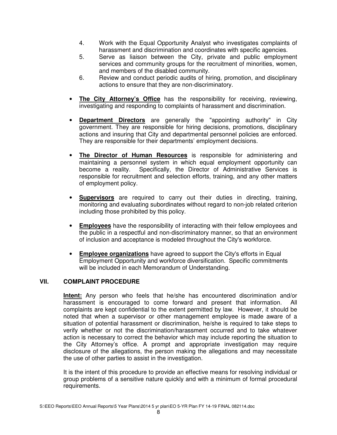- 4. Work with the Equal Opportunity Analyst who investigates complaints of harassment and discrimination and coordinates with specific agencies.
- 5. Serve as liaison between the City, private and public employment services and community groups for the recruitment of minorities, women, and members of the disabled community.
- 6. Review and conduct periodic audits of hiring, promotion, and disciplinary actions to ensure that they are non-discriminatory.
- **The City Attorney's Office** has the responsibility for receiving, reviewing, investigating and responding to complaints of harassment and discrimination.
- **Department Directors** are generally the "appointing authority" in City government. They are responsible for hiring decisions, promotions, disciplinary actions and insuring that City and departmental personnel policies are enforced. They are responsible for their departments' employment decisions.
- **The Director of Human Resources** is responsible for administering and maintaining a personnel system in which equal employment opportunity can become a reality. Specifically, the Director of Administrative Services is Specifically, the Director of Administrative Services is responsible for recruitment and selection efforts, training, and any other matters of employment policy.
- **Supervisors** are required to carry out their duties in directing, training, monitoring and evaluating subordinates without regard to non-job related criterion including those prohibited by this policy.
- **Employees** have the responsibility of interacting with their fellow employees and the public in a respectful and non-discriminatory manner, so that an environment of inclusion and acceptance is modeled throughout the City's workforce.
- **Employee organizations** have agreed to support the City's efforts in Equal Employment Opportunity and workforce diversification. Specific commitments will be included in each Memorandum of Understanding.

## **VII. COMPLAINT PROCEDURE**

 **Intent:** Any person who feels that he/she has encountered discrimination and/or harassment is encouraged to come forward and present that information. All complaints are kept confidential to the extent permitted by law. However, it should be noted that when a supervisor or other management employee is made aware of a situation of potential harassment or discrimination, he/she is required to take steps to verify whether or not the discrimination/harassment occurred and to take whatever action is necessary to correct the behavior which may include reporting the situation to the City Attorney's office. A prompt and appropriate investigation may require disclosure of the allegations, the person making the allegations and may necessitate the use of other parties to assist in the investigation.

It is the intent of this procedure to provide an effective means for resolving individual or group problems of a sensitive nature quickly and with a minimum of formal procedural requirements.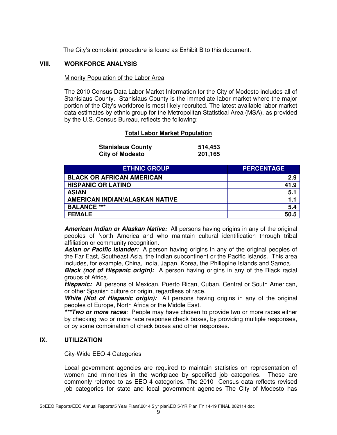The City's complaint procedure is found as Exhibit B to this document.

#### **VIII. WORKFORCE ANALYSIS**

#### Minority Population of the Labor Area

The 2010 Census Data Labor Market Information for the City of Modesto includes all of Stanislaus County. Stanislaus County is the immediate labor market where the major portion of the City's workforce is most likely recruited. The latest available labor market data estimates by ethnic group for the Metropolitan Statistical Area (MSA), as provided by the U.S. Census Bureau, reflects the following:

## **Total Labor Market Population**

| <b>Stanislaus County</b> | 514,453 |
|--------------------------|---------|
| <b>City of Modesto</b>   | 201,165 |

| <b>ETHNIC GROUP</b>                   | <b>PERCENTAGE</b> |
|---------------------------------------|-------------------|
| <b>BLACK OR AFRICAN AMERICAN</b>      | 2.9               |
| <b>HISPANIC OR LATINO</b>             | 41.9              |
| <b>ASIAN</b>                          | 5.1               |
| <b>AMERICAN INDIAN/ALASKAN NATIVE</b> | 1.1               |
| <b>BALANCE ***</b>                    | 5.4               |
| <b>FEMALE</b>                         | 50.5              |

**American Indian or Alaskan Native:** All persons having origins in any of the original peoples of North America and who maintain cultural identification through tribal affiliation or community recognition.

**Asian or Pacific Islander:** A person having origins in any of the original peoples of the Far East, Southeast Asia, the Indian subcontinent or the Pacific Islands. This area includes, for example, China, India, Japan, Korea, the Philippine Islands and Samoa.

**Black (not of Hispanic origin):** A person having origins in any of the Black racial groups of Africa.

**Hispanic:** All persons of Mexican, Puerto Rican, Cuban, Central or South American, or other Spanish culture or origin, regardless of race.

**White (Not of Hispanic origin):** All persons having origins in any of the original peoples of Europe, North Africa or the Middle East.

**\*\*\*Two or more races**: People may have chosen to provide two or more races either by checking two or more race response check boxes, by providing multiple responses, or by some combination of check boxes and other responses.

## **IX. UTILIZATION**

#### City-Wide EEO-4 Categories

Local government agencies are required to maintain statistics on representation of women and minorities in the workplace by specified job categories. These are commonly referred to as EEO-4 categories. The 2010 Census data reflects revised job categories for state and local government agencies The City of Modesto has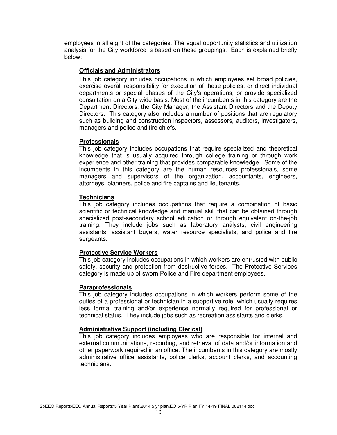employees in all eight of the categories. The equal opportunity statistics and utilization analysis for the City workforce is based on these groupings. Each is explained briefly below:

#### **Officials and Administrators**

This job category includes occupations in which employees set broad policies, exercise overall responsibility for execution of these policies, or direct individual departments or special phases of the City's operations, or provide specialized consultation on a City-wide basis. Most of the incumbents in this category are the Department Directors, the City Manager, the Assistant Directors and the Deputy Directors. This category also includes a number of positions that are regulatory such as building and construction inspectors, assessors, auditors, investigators, managers and police and fire chiefs.

#### **Professionals**

This job category includes occupations that require specialized and theoretical knowledge that is usually acquired through college training or through work experience and other training that provides comparable knowledge. Some of the incumbents in this category are the human resources professionals, some managers and supervisors of the organization, accountants, engineers, attorneys, planners, police and fire captains and lieutenants.

## **Technicians**

This job category includes occupations that require a combination of basic scientific or technical knowledge and manual skill that can be obtained through specialized post-secondary school education or through equivalent on-the-job training. They include jobs such as laboratory analysts, civil engineering assistants, assistant buyers, water resource specialists, and police and fire sergeants.

## **Protective Service Workers**

This job category includes occupations in which workers are entrusted with public safety, security and protection from destructive forces. The Protective Services category is made up of sworn Police and Fire department employees.

## **Paraprofessionals**

 This job category includes occupations in which workers perform some of the duties of a professional or technician in a supportive role, which usually requires less formal training and/or experience normally required for professional or technical status. They include jobs such as recreation assistants and clerks.

## **Administrative Support (including Clerical)**

This job category includes employees who are responsible for internal and external communications, recording, and retrieval of data and/or information and other paperwork required in an office. The incumbents in this category are mostly administrative office assistants, police clerks, account clerks, and accounting technicians.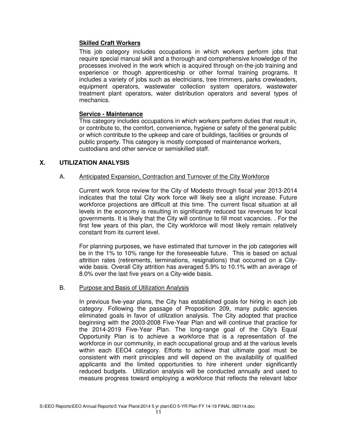## **Skilled Craft Workers**

This job category includes occupations in which workers perform jobs that require special manual skill and a thorough and comprehensive knowledge of the processes involved in the work which is acquired through on-the-job training and experience or though apprenticeship or other formal training programs. It includes a variety of jobs such as electricians, tree trimmers, parks crewleaders, equipment operators, wastewater collection system operators, wastewater treatment plant operators, water distribution operators and several types of mechanics.

## **Service - Maintenance**

This category includes occupations in which workers perform duties that result in, or contribute to, the comfort, convenience, hygiene or safety of the general public or which contribute to the upkeep and care of buildings, facilities or grounds of public property. This category is mostly composed of maintenance workers, custodians and other service or semiskilled staff.

## **X. UTILIZATION ANALYSIS**

## A. Anticipated Expansion, Contraction and Turnover of the City Workforce

Current work force review for the City of Modesto through fiscal year 2013-2014 indicates that the total City work force will likely see a slight increase. Future workforce projections are difficult at this time. The current fiscal situation at all levels in the economy is resulting in significantly reduced tax revenues for local governments. It is likely that the City will continue to fill most vacancies. . For the first few years of this plan, the City workforce will most likely remain relatively constant from its current level.

For planning purposes, we have estimated that turnover in the job categories will be in the 1% to 10% range for the foreseeable future. This is based on actual attrition rates (retirements, terminations, resignations) that occurred on a Citywide basis. Overall City attrition has averaged 5.9% to 10.1% with an average of 8.0% over the last five years on a City-wide basis.

## B. Purpose and Basis of Utilization Analysis

In previous five-year plans, the City has established goals for hiring in each job category. Following the passage of Proposition 209, many public agencies eliminated goals in favor of utilization analysis. The City adopted that practice beginning with the 2003-2008 Five-Year Plan and will continue that practice for the 2014-2019 Five-Year Plan. The long-range goal of the City's Equal Opportunity Plan is to achieve a workforce that is a representation of the workforce in our community, in each occupational group and at the various levels within each EEO4 category. Efforts to achieve that ultimate goal must be consistent with merit principles and will depend on the availability of qualified applicants and the limited opportunities to hire inherent under significantly reduced budgets. Utilization analysis will be conducted annually and used to measure progress toward employing a workforce that reflects the relevant labor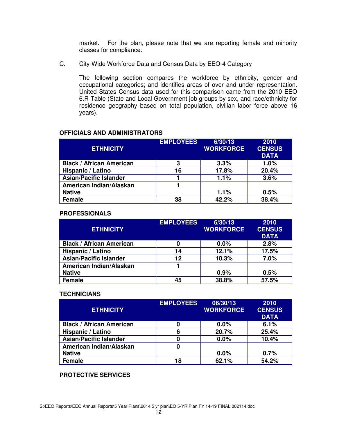market. For the plan, please note that we are reporting female and minority classes for compliance.

#### C. City-Wide Workforce Data and Census Data by EEO-4 Category

The following section compares the workforce by ethnicity, gender and occupational categories; and identifies areas of over and under representation. United States Census data used for this comparison came from the 2010 EEO 6.R Table (State and Local Government job groups by sex, and race/ethnicity for residence geography based on total population, civilian labor force above 16 years).

## **OFFICIALS AND ADMINISTRATORS**

| <b>ETHNICITY</b>                | <b>EMPLOYEES</b> | 6/30/13<br><b>WORKFORCE</b> | 2010<br><b>CENSUS</b><br><b>DATA</b> |
|---------------------------------|------------------|-----------------------------|--------------------------------------|
| <b>Black / African American</b> | 3                | 3.3%                        | 1.0%                                 |
| Hispanic / Latino               | 16               | 17.8%                       | 20.4%                                |
| <b>Asian/Pacific Islander</b>   |                  | 1.1%                        | 3.6%                                 |
| American Indian/Alaskan         |                  |                             |                                      |
| <b>Native</b>                   |                  | 1.1%                        | 0.5%                                 |
| <b>Female</b>                   | 38               | 42.2%                       | 38.4%                                |

#### **PROFESSIONALS**

| <b>ETHNICITY</b>                | <b>EMPLOYEES</b> | 6/30/13<br><b>WORKFORCE</b> | 2010<br><b>CENSUS</b><br><b>DATA</b> |
|---------------------------------|------------------|-----------------------------|--------------------------------------|
| <b>Black / African American</b> | 0                | $0.0\%$                     | 2.8%                                 |
| Hispanic / Latino               | 14               | 12.1%                       | 17.5%                                |
| <b>Asian/Pacific Islander</b>   | 12               | 10.3%                       | 7.0%                                 |
| American Indian/Alaskan         |                  |                             |                                      |
| <b>Native</b>                   |                  | 0.9%                        | 0.5%                                 |
| <b>Female</b>                   | 45               | 38.8%                       | 57.5%                                |

#### **TECHNICIANS**

| <b>ETHNICITY</b>                | <b>EMPLOYEES</b> | 06/30/13<br><b>WORKFORCE</b> | 2010<br><b>CENSUS</b><br><b>DATA</b> |
|---------------------------------|------------------|------------------------------|--------------------------------------|
| <b>Black / African American</b> | 0                | 0.0%                         | 6.1%                                 |
| Hispanic / Latino               | 6                | 20.7%                        | 25.4%                                |
| <b>Asian/Pacific Islander</b>   | 0                | 0.0%                         | 10.4%                                |
| American Indian/Alaskan         | 0                |                              |                                      |
| <b>Native</b>                   |                  | $0.0\%$                      | 0.7%                                 |
| <b>Female</b>                   | 18               | 62.1%                        | 54.2%                                |

## **PROTECTIVE SERVICES**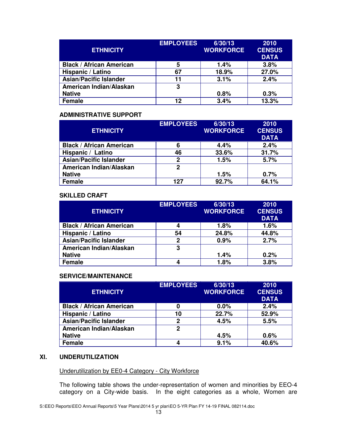| <b>ETHNICITY</b>                | <b>EMPLOYEES</b> | 6/30/13<br><b>WORKFORCE</b> | 2010<br><b>CENSUS</b><br><b>DATA</b> |
|---------------------------------|------------------|-----------------------------|--------------------------------------|
| <b>Black / African American</b> | 5                | 1.4%                        | 3.8%                                 |
| Hispanic / Latino               | 67               | 18.9%                       | 27.0%                                |
| <b>Asian/Pacific Islander</b>   | 11               | 3.1%                        | 2.4%                                 |
| American Indian/Alaskan         | 3                |                             |                                      |
| <b>Native</b>                   |                  | 0.8%                        | 0.3%                                 |
| <b>Female</b>                   | 12               | 3.4%                        | 13.3%                                |

## **ADMINISTRATIVE SUPPORT**

| <b>ETHNICITY</b>                | <b>EMPLOYEES</b> | 6/30/13<br><b>WORKFORCE</b> | 2010<br><b>CENSUS</b><br><b>DATA</b> |
|---------------------------------|------------------|-----------------------------|--------------------------------------|
| <b>Black / African American</b> | 6                | 4.4%                        | 2.4%                                 |
| Hispanic / Latino               | 46               | 33.6%                       | 31.7%                                |
| <b>Asian/Pacific Islander</b>   | 2                | 1.5%                        | 5.7%                                 |
| American Indian/Alaskan         | 2                |                             |                                      |
| <b>Native</b>                   |                  | 1.5%                        | 0.7%                                 |
| <b>Female</b>                   | 127              | 92.7%                       | 64.1%                                |

#### **SKILLED CRAFT**

| <b>ETHNICITY</b>                | <b>EMPLOYEES</b> | 6/30/13<br><b>WORKFORCE</b> | 2010<br><b>CENSUS</b><br><b>DATA</b> |
|---------------------------------|------------------|-----------------------------|--------------------------------------|
| <b>Black / African American</b> | 4                | 1.8%                        | 1.6%                                 |
| Hispanic / Latino               | 54               | 24.8%                       | 44.8%                                |
| <b>Asian/Pacific Islander</b>   | 2                | 0.9%                        | 2.7%                                 |
| American Indian/Alaskan         | 3                |                             |                                      |
| <b>Native</b>                   |                  | 1.4%                        | 0.2%                                 |
| <b>Female</b>                   | 4                | 1.8%                        | 3.8%                                 |

## **SERVICE/MAINTENANCE**

| <b>ETHNICITY</b>                | <b>EMPLOYEES</b> | 6/30/13<br><b>WORKFORCE</b> | 2010<br><b>CENSUS</b><br><b>DATA</b> |
|---------------------------------|------------------|-----------------------------|--------------------------------------|
| <b>Black / African American</b> | 0                | 0.0%                        | 2.4%                                 |
| Hispanic / Latino               | 10               | 22.7%                       | 52.9%                                |
| <b>Asian/Pacific Islander</b>   | 2                | 4.5%                        | 5.5%                                 |
| American Indian/Alaskan         | 2                |                             |                                      |
| <b>Native</b>                   |                  | 4.5%                        | 0.6%                                 |
| <b>Female</b>                   | Δ                | 9.1%                        | 40.6%                                |

## **XI. UNDERUTILIZATION**

## Underutilization by EE0-4 Category - City Workforce

The following table shows the under-representation of women and minorities by EEO-4 category on a City-wide basis. In the eight categories as a whole, Women are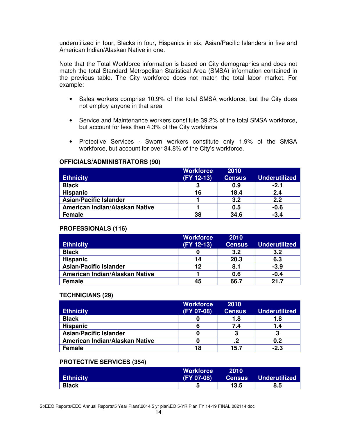underutilized in four, Blacks in four, Hispanics in six, Asian/Pacific Islanders in five and American Indian/Alaskan Native in one.

Note that the Total Workforce information is based on City demographics and does not match the total Standard Metropolitan Statistical Area (SMSA) information contained in the previous table. The City workforce does not match the total labor market. For example:

- Sales workers comprise 10.9% of the total SMSA workforce, but the City does not employ anyone in that area
- Service and Maintenance workers constitute 39.2% of the total SMSA workforce, but account for less than 4.3% of the City workforce
- Protective Services Sworn workers constitute only 1.9% of the SMSA workforce, but account for over 34.8% of the City's workforce.

#### **OFFICIALS/ADMINISTRATORS (90)**

|                                | <b>Workforce</b> | 2010          |                      |
|--------------------------------|------------------|---------------|----------------------|
| <b>Ethnicity</b>               | (FY 12-13)       | <b>Census</b> | <b>Underutilized</b> |
| <b>Black</b>                   | 3                | 0.9           | $-2.1$               |
| <b>Hispanic</b>                | 16               | 18.4          | 2.4                  |
| <b>Asian/Pacific Islander</b>  |                  | 3.2           | 2.2                  |
| American Indian/Alaskan Native |                  | 0.5           | $-0.6$               |
| <b>Female</b>                  | 38               | 34.6          | $-3.4$               |

## **PROFESSIONALS (116)**

|                                | <b>Workforce</b> | 2010          |                      |
|--------------------------------|------------------|---------------|----------------------|
| <b>Ethnicity</b>               | (FY 12-13)       | <b>Census</b> | <b>Underutilized</b> |
| <b>Black</b>                   |                  | 3.2           | 3.2                  |
| <b>Hispanic</b>                | 14               | 20.3          | 6.3                  |
| <b>Asian/Pacific Islander</b>  | 12               | 8.1           | $-3.9$               |
| American Indian/Alaskan Native |                  | 0.6           | $-0.4$               |
| <b>Female</b>                  | 45               | 66.7          | 21.7                 |

## **TECHNICIANS (29)**

|                                | <b>Workforce</b> | 2010          |                      |
|--------------------------------|------------------|---------------|----------------------|
| <b>Ethnicity</b>               | (FY 07-08)       | <b>Census</b> | <b>Underutilized</b> |
| <b>Black</b>                   |                  | 1.8           | 1.8                  |
| <b>Hispanic</b>                |                  | 7.4           | 1.4                  |
| <b>Asian/Pacific Islander</b>  |                  | פ             | 3                    |
| American Indian/Alaskan Native |                  |               | 0.2                  |
| <b>Female</b>                  | 18               | 15.7          | $-2.3$               |

## **PROTECTIVE SERVICES (354)**

|                  | <b>Workforce</b> | 2010          |                      |
|------------------|------------------|---------------|----------------------|
| <b>Ethnicity</b> | (FY 07-08)       | <b>Census</b> | <b>Underutilized</b> |
| <b>Black</b>     |                  | 13.5          | 8.5                  |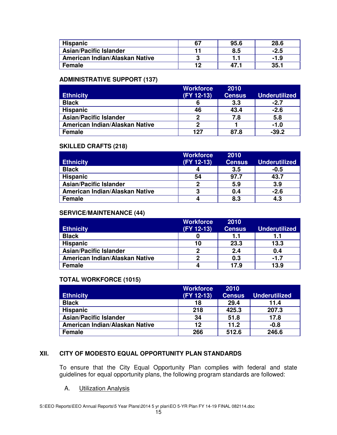| <b>Hispanic</b>                | 95.6 | 28.6   |
|--------------------------------|------|--------|
| <b>Asian/Pacific Islander</b>  | 8.5  | $-2.5$ |
| American Indian/Alaskan Native |      | -1.9   |
| <b>Female</b>                  | 47.  | 35.7   |

# **ADMINISTRATIVE SUPPORT (137)**

|                                | <b>Workforce</b> | 2010          |                      |
|--------------------------------|------------------|---------------|----------------------|
| <b>Ethnicity</b>               | (FY 12-13)       | <b>Census</b> | <b>Underutilized</b> |
| <b>Black</b>                   |                  | 3.3           | $-2.7$               |
| <b>Hispanic</b>                | 46               | 43.4          | $-2.6$               |
| <b>Asian/Pacific Islander</b>  | ≏                | 7.8           | 5.8                  |
| American Indian/Alaskan Native | כי               |               | $-1.0$               |
| <b>Female</b>                  | 127              | 87.8          | $-39.2$              |

## **SKILLED CRAFTS (218)**

|                                | <b>Workforce</b> | 2010          |                      |
|--------------------------------|------------------|---------------|----------------------|
| <b>Ethnicity</b>               | (FY 12-13)       | <b>Census</b> | <b>Underutilized</b> |
| <b>Black</b>                   |                  | 3.5           | $-0.5$               |
| <b>Hispanic</b>                | 54               | 97.7          | 43.7                 |
| <b>Asian/Pacific Islander</b>  | פ                | 5.9           | 3.9                  |
| American Indian/Alaskan Native | ≏                | 0.4           | $-2.6$               |
| <b>Female</b>                  |                  | 8.3           | 4.3                  |

# **SERVICE/MAINTENANCE (44)**

|                                | <b>Workforce</b> | 2010          |                      |
|--------------------------------|------------------|---------------|----------------------|
| <b>Ethnicity</b>               | (FY 12-13)       | <b>Census</b> | <b>Underutilized</b> |
| <b>Black</b>                   |                  | 1.1           | 1.1                  |
| <b>Hispanic</b>                | 10               | 23.3          | 13.3                 |
| <b>Asian/Pacific Islander</b>  | ŋ                | 2.4           | 0.4                  |
| American Indian/Alaskan Native |                  | 0.3           | $-1.7$               |
| <b>Female</b>                  |                  | 17.9          | 13.9                 |

## **TOTAL WORKFORCE (1015)**

|                                | <b>Workforce</b> | 2010          |                      |
|--------------------------------|------------------|---------------|----------------------|
| <b>Ethnicity</b>               | (FY 12-13)       | <b>Census</b> | <b>Underutilized</b> |
| <b>Black</b>                   | 18               | 29.4          | 11.4                 |
| <b>Hispanic</b>                | 218              | 425.3         | 207.3                |
| <b>Asian/Pacific Islander</b>  | 34               | 51.8          | 17.8                 |
| American Indian/Alaskan Native | 12               | 11.2          | $-0.8$               |
| <b>Female</b>                  | 266              | 512.6         | 246.6                |

# **XII. CITY OF MODESTO EQUAL OPPORTUNITY PLAN STANDARDS**

To ensure that the City Equal Opportunity Plan complies with federal and state guidelines for equal opportunity plans, the following program standards are followed:

A. Utilization Analysis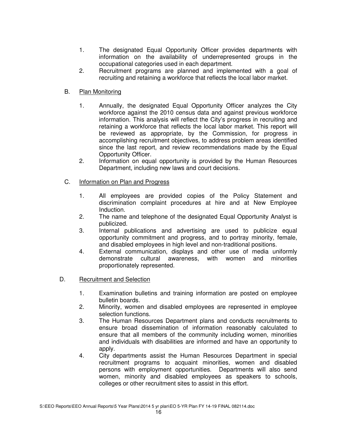- 1. The designated Equal Opportunity Officer provides departments with information on the availability of underrepresented groups in the occupational categories used in each department.
- 2. Recruitment programs are planned and implemented with a goal of recruiting and retaining a workforce that reflects the local labor market.

## B. Plan Monitoring

- 1. Annually, the designated Equal Opportunity Officer analyzes the City workforce against the 2010 census data and against previous workforce information. This analysis will reflect the City's progress in recruiting and retaining a workforce that reflects the local labor market. This report will be reviewed as appropriate, by the Commission, for progress in accomplishing recruitment objectives, to address problem areas identified since the last report, and review recommendations made by the Equal Opportunity Officer.
- 2. Information on equal opportunity is provided by the Human Resources Department, including new laws and court decisions.

## C. Information on Plan and Progress

- 1. All employees are provided copies of the Policy Statement and discrimination complaint procedures at hire and at New Employee Induction.
- 2. The name and telephone of the designated Equal Opportunity Analyst is publicized.
- 3. Internal publications and advertising are used to publicize equal opportunity commitment and progress, and to portray minority, female, and disabled employees in high level and non-traditional positions.
- 4. External communication, displays and other use of media uniformly demonstrate cultural awareness, with women and minorities proportionately represented.

## D. Recruitment and Selection

- 1. Examination bulletins and training information are posted on employee bulletin boards.
- 2. Minority, women and disabled employees are represented in employee selection functions.
- 3. The Human Resources Department plans and conducts recruitments to ensure broad dissemination of information reasonably calculated to ensure that all members of the community including women, minorities and individuals with disabilities are informed and have an opportunity to apply.
- 4. City departments assist the Human Resources Department in special recruitment programs to acquaint minorities, women and disabled persons with employment opportunities. Departments will also send women, minority and disabled employees as speakers to schools, colleges or other recruitment sites to assist in this effort.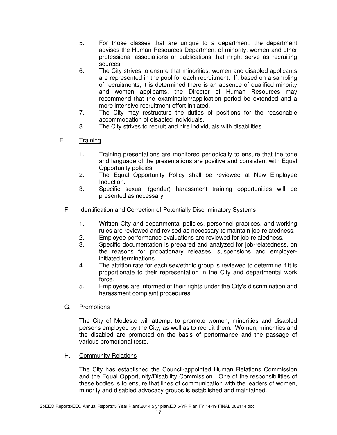- 5. For those classes that are unique to a department, the department advises the Human Resources Department of minority, women and other professional associations or publications that might serve as recruiting sources.
- 6. The City strives to ensure that minorities, women and disabled applicants are represented in the pool for each recruitment. If, based on a sampling of recruitments, it is determined there is an absence of qualified minority and women applicants, the Director of Human Resources may recommend that the examination/application period be extended and a more intensive recruitment effort initiated.
- 7. The City may restructure the duties of positions for the reasonable accommodation of disabled individuals.
- 8. The City strives to recruit and hire individuals with disabilities.
- E. Training
	- 1. Training presentations are monitored periodically to ensure that the tone and language of the presentations are positive and consistent with Equal Opportunity policies.
	- 2. The Equal Opportunity Policy shall be reviewed at New Employee Induction.
	- 3. Specific sexual (gender) harassment training opportunities will be presented as necessary.
	- F. Identification and Correction of Potentially Discriminatory Systems
		- 1. Written City and departmental policies, personnel practices, and working rules are reviewed and revised as necessary to maintain job-relatedness.
		- 2. Employee performance evaluations are reviewed for job-relatedness.
		- 3. Specific documentation is prepared and analyzed for job-relatedness, on the reasons for probationary releases, suspensions and employerinitiated terminations.
		- 4. The attrition rate for each sex/ethnic group is reviewed to determine if it is proportionate to their representation in the City and departmental work force.
		- 5. Employees are informed of their rights under the City's discrimination and harassment complaint procedures.
	- G. Promotions

The City of Modesto will attempt to promote women, minorities and disabled persons employed by the City, as well as to recruit them. Women, minorities and the disabled are promoted on the basis of performance and the passage of various promotional tests.

H. Community Relations

The City has established the Council-appointed Human Relations Commission and the Equal Opportunity/Disability Commission. One of the responsibilities of these bodies is to ensure that lines of communication with the leaders of women, minority and disabled advocacy groups is established and maintained.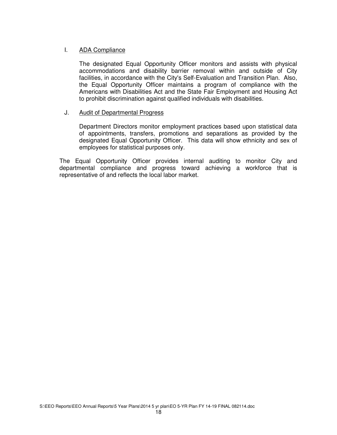## I. ADA Compliance

The designated Equal Opportunity Officer monitors and assists with physical accommodations and disability barrier removal within and outside of City facilities, in accordance with the City's Self-Evaluation and Transition Plan. Also, the Equal Opportunity Officer maintains a program of compliance with the Americans with Disabilities Act and the State Fair Employment and Housing Act to prohibit discrimination against qualified individuals with disabilities.

## J. Audit of Departmental Progress

Department Directors monitor employment practices based upon statistical data of appointments, transfers, promotions and separations as provided by the designated Equal Opportunity Officer. This data will show ethnicity and sex of employees for statistical purposes only.

The Equal Opportunity Officer provides internal auditing to monitor City and departmental compliance and progress toward achieving a workforce that is representative of and reflects the local labor market.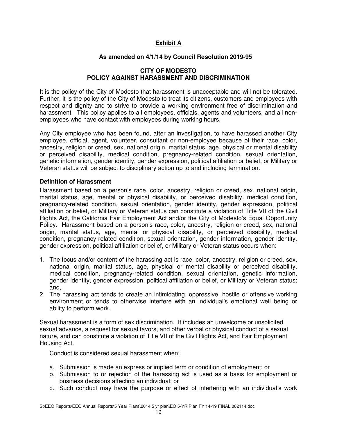# **Exhibit A**

# **As amended on 4/1/14 by Council Resolution 2019-95**

#### **CITY OF MODESTO POLICY AGAINST HARASSMENT AND DISCRIMINATION**

It is the policy of the City of Modesto that harassment is unacceptable and will not be tolerated. Further, it is the policy of the City of Modesto to treat its citizens, customers and employees with respect and dignity and to strive to provide a working environment free of discrimination and harassment. This policy applies to all employees, officials, agents and volunteers, and all nonemployees who have contact with employees during working hours.

Any City employee who has been found, after an investigation, to have harassed another City employee, official, agent, volunteer, consultant or non-employee because of their race, color, ancestry, religion or creed, sex, national origin, marital status, age, physical or mental disability or perceived disability, medical condition, pregnancy-related condition, sexual orientation, genetic information, gender identity, gender expression, political affiliation or belief, or Military or Veteran status will be subject to disciplinary action up to and including termination.

#### **Definition of Harassment**

Harassment based on a person's race, color, ancestry, religion or creed, sex, national origin, marital status, age, mental or physical disability, or perceived disability, medical condition, pregnancy-related condition, sexual orientation, gender identity, gender expression, political affiliation or belief, or Military or Veteran status can constitute a violation of Title VII of the Civil Rights Act, the California Fair Employment Act and/or the City of Modesto's Equal Opportunity Policy. Harassment based on a person's race, color, ancestry, religion or creed, sex, national origin, marital status, age, mental or physical disability, or perceived disability, medical condition, pregnancy-related condition, sexual orientation, gender information, gender identity, gender expression, political affiliation or belief, or Military or Veteran status occurs when:

- 1. The focus and/or content of the harassing act is race, color, ancestry, religion or creed, sex, national origin, marital status, age, physical or mental disability or perceived disability, medical condition, pregnancy-related condition, sexual orientation, genetic information, gender identity, gender expression, political affiliation or belief, or Military or Veteran status; and,
- 2. The harassing act tends to create an intimidating, oppressive, hostile or offensive working environment or tends to otherwise interfere with an individual's emotional well being or ability to perform work.

Sexual harassment is a form of sex discrimination. It includes an unwelcome or unsolicited sexual advance, a request for sexual favors, and other verbal or physical conduct of a sexual nature, and can constitute a violation of Title VII of the Civil Rights Act, and Fair Employment Housing Act.

Conduct is considered sexual harassment when:

- a. Submission is made an express or implied term or condition of employment; or
- b. Submission to or rejection of the harassing act is used as a basis for employment or business decisions affecting an individual; or
- c. Such conduct may have the purpose or effect of interfering with an individual's work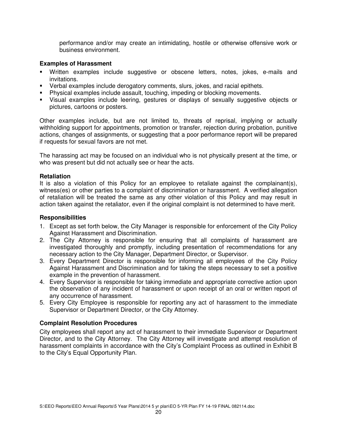performance and/or may create an intimidating, hostile or otherwise offensive work or business environment.

#### **Examples of Harassment**

- Written examples include suggestive or obscene letters, notes, jokes, e-mails and invitations.
- Verbal examples include derogatory comments, slurs, jokes, and racial epithets.
- **Physical examples include assault, touching, impeding or blocking movements.**
- Visual examples include leering, gestures or displays of sexually suggestive objects or pictures, cartoons or posters.

Other examples include, but are not limited to, threats of reprisal, implying or actually withholding support for appointments, promotion or transfer, rejection during probation, punitive actions, changes of assignments, or suggesting that a poor performance report will be prepared if requests for sexual favors are not met.

The harassing act may be focused on an individual who is not physically present at the time, or who was present but did not actually see or hear the acts.

#### **Retaliation**

It is also a violation of this Policy for an employee to retaliate against the complainant(s), witness(es) or other parties to a complaint of discrimination or harassment. A verified allegation of retaliation will be treated the same as any other violation of this Policy and may result in action taken against the retaliator, even if the original complaint is not determined to have merit.

#### **Responsibilities**

- 1. Except as set forth below, the City Manager is responsible for enforcement of the City Policy Against Harassment and Discrimination.
- 2. The City Attorney is responsible for ensuring that all complaints of harassment are investigated thoroughly and promptly, including presentation of recommendations for any necessary action to the City Manager, Department Director, or Supervisor.
- 3. Every Department Director is responsible for informing all employees of the City Policy Against Harassment and Discrimination and for taking the steps necessary to set a positive example in the prevention of harassment.
- 4. Every Supervisor is responsible for taking immediate and appropriate corrective action upon the observation of any incident of harassment or upon receipt of an oral or written report of any occurrence of harassment.
- 5. Every City Employee is responsible for reporting any act of harassment to the immediate Supervisor or Department Director, or the City Attorney.

#### **Complaint Resolution Procedures**

City employees shall report any act of harassment to their immediate Supervisor or Department Director, and to the City Attorney. The City Attorney will investigate and attempt resolution of harassment complaints in accordance with the City's Complaint Process as outlined in Exhibit B to the City's Equal Opportunity Plan.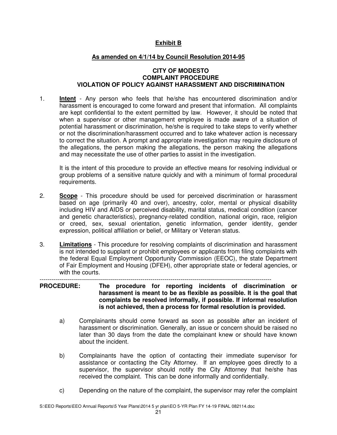# **Exhibit B**

## **As amended on 4/1/14 by Council Resolution 2014-95**

#### **CITY OF MODESTO COMPLAINT PROCEDURE VIOLATION OF POLICY AGAINST HARASSMENT AND DISCRIMINATION**

1. **Intent** - Any person who feels that he/she has encountered discrimination and/or harassment is encouraged to come forward and present that information. All complaints are kept confidential to the extent permitted by law. However, it should be noted that when a supervisor or other management employee is made aware of a situation of potential harassment or discrimination, he/she is required to take steps to verify whether or not the discrimination/harassment occurred and to take whatever action is necessary to correct the situation. A prompt and appropriate investigation may require disclosure of the allegations, the person making the allegations, the person making the allegations and may necessitate the use of other parties to assist in the investigation.

 It is the intent of this procedure to provide an effective means for resolving individual or group problems of a sensitive nature quickly and with a minimum of formal procedural requirements.

- 2. **Scope** This procedure should be used for perceived discrimination or harassment based on age (primarily 40 and over), ancestry, color, mental or physical disability including HIV and AIDS or perceived disability, marital status, medical condition (cancer and genetic characteristics), pregnancy-related condition, national origin, race, religion or creed, sex, sexual orientation, genetic information, gender identity, gender expression, political affiliation or belief, or Military or Veteran status.
- 3. **Limitations** This procedure for resolving complaints of discrimination and harassment is not intended to supplant or prohibit employees or applicants from filing complaints with the federal Equal Employment Opportunity Commission (EEOC), the state Department of Fair Employment and Housing (DFEH), other appropriate state or federal agencies, or with the courts.

-------------------------------------------------------------------------------------------------------------------

#### **PROCEDURE: The procedure for reporting incidents of discrimination or harassment is meant to be as flexible as possible. It is the goal that complaints be resolved informally, if possible. If informal resolution is not achieved, then a process for formal resolution is provided.**

- a) Complainants should come forward as soon as possible after an incident of harassment or discrimination. Generally, an issue or concern should be raised no later than 30 days from the date the complainant knew or should have known about the incident.
- b) Complainants have the option of contacting their immediate supervisor for assistance or contacting the City Attorney. If an employee goes directly to a supervisor, the supervisor should notify the City Attorney that he/she has received the complaint. This can be done informally and confidentially.
- c) Depending on the nature of the complaint, the supervisor may refer the complaint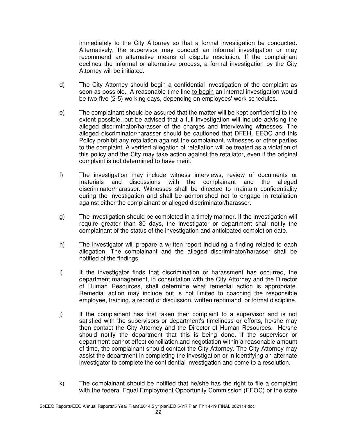immediately to the City Attorney so that a formal investigation be conducted. Alternatively, the supervisor may conduct an informal investigation or may recommend an alternative means of dispute resolution. If the complainant declines the informal or alternative process, a formal investigation by the City Attorney will be initiated.

- d) The City Attorney should begin a confidential investigation of the complaint as soon as possible. A reasonable time line to begin an internal investigation would be two-five (2-5) working days, depending on employees' work schedules.
- e) The complainant should be assured that the matter will be kept confidential to the extent possible, but be advised that a full investigation will include advising the alleged discriminator/harasser of the charges and interviewing witnesses. The alleged discriminator/harasser should be cautioned that DFEH, EEOC and this Policy prohibit any retaliation against the complainant, witnesses or other parties to the complaint. A verified allegation of retaliation will be treated as a violation of this policy and the City may take action against the retaliator, even if the original complaint is not determined to have merit.
- f) The investigation may include witness interviews, review of documents or materials and discussions with the complainant and the alleged discriminator/harasser. Witnesses shall be directed to maintain confidentiality during the investigation and shall be admonished not to engage in retaliation against either the complainant or alleged discriminator/harasser.
- g) The investigation should be completed in a timely manner. If the investigation will require greater than 30 days, the investigator or department shall notify the complainant of the status of the investigation and anticipated completion date.
- h) The investigator will prepare a written report including a finding related to each allegation. The complainant and the alleged discriminator/harasser shall be notified of the findings.
- i) If the investigator finds that discrimination or harassment has occurred, the department management, in consultation with the City Attorney and the Director of Human Resources, shall determine what remedial action is appropriate. Remedial action may include but is not limited to coaching the responsible employee, training, a record of discussion, written reprimand, or formal discipline.
- j) If the complainant has first taken their complaint to a supervisor and is not satisfied with the supervisors or department's timeliness or efforts, he/she may then contact the City Attorney and the Director of Human Resources. He/she should notify the department that this is being done. If the supervisor or department cannot effect conciliation and negotiation within a reasonable amount of time, the complainant should contact the City Attorney. The City Attorney may assist the department in completing the investigation or in identifying an alternate investigator to complete the confidential investigation and come to a resolution.
- k) The complainant should be notified that he/she has the right to file a complaint with the federal Equal Employment Opportunity Commission (EEOC) or the state